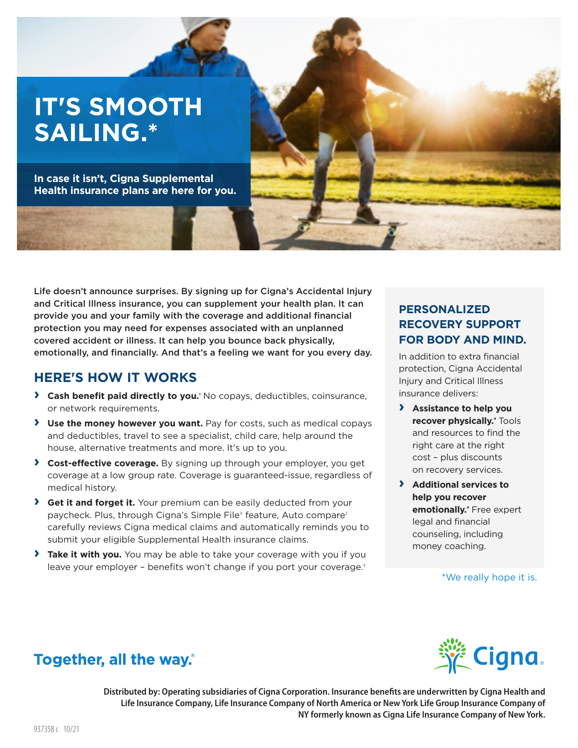# **IT'S SMOOTH SAILING.\***

**In case it isn't, Cigna Supplemental Health insurance plans are here for you.** 

Life doesn't announce surprises. By signing up for Cigna's Accidental Injury and Critical Illness insurance, you can supplement your health plan. It can provide you and your family with the coverage and additional financial protection you may need for expenses associated with an unplanned covered accident or illness. It can help you bounce back physically, emotionally, and financially. And that's a feeling we want for you every day.

# **HERE'S HOW IT WORKS**

- **> Cash benefit paid directly to you.**<sup>1</sup> No copays, deductibles, coinsurance, or network requirements.
- **› Use the money however you want.** Pay for costs, such as medical copays and deductibles, travel to see a specialist, child care, help around the house, alternative treatments and more. It's up to you.
- **› Cost-effective coverage.** By signing up through your employer, you get coverage at a low group rate. Coverage is guaranteed-issue, regardless of medical history.
- **› Get it and forget it.** Your premium can be easily deducted from your paycheck. Plus, through Cigna's Simple File® feature, Auto compare<sup>2</sup> carefully reviews Cigna medical claims and automatically reminds you to submit your eligible Supplemental Health insurance claims.
- **› Take it with you.** You may be able to take your coverage with you if you leave your employer - benefits won't change if you port your coverage.<sup>3</sup>

# **PERSONALIZED RECOVERY SUPPORT FOR BODY AND MIND.**

In addition to extra financial protection, Cigna Accidental Injury and Critical Illness insurance delivers:

- **› Assistance to help you recover physically.**<sup>4</sup> Tools and resources to find the right care at the right cost – plus discounts on recovery services.
- **› Additional services to help you recover emotionally.**<sup>4</sup> Free expert legal and financial counseling, including money coaching.

#### \*We really hope it is.



# **Together, all the way.**

Distributed by: Operating subsidiaries of Cigna Corporation. Insurance benefits are underwritten by Cigna Health and Life Insurance Company, Life Insurance Company of North America or New York Life Group Insurance Company of **NY formerly known as Cigna Life Insurance Company of New York.**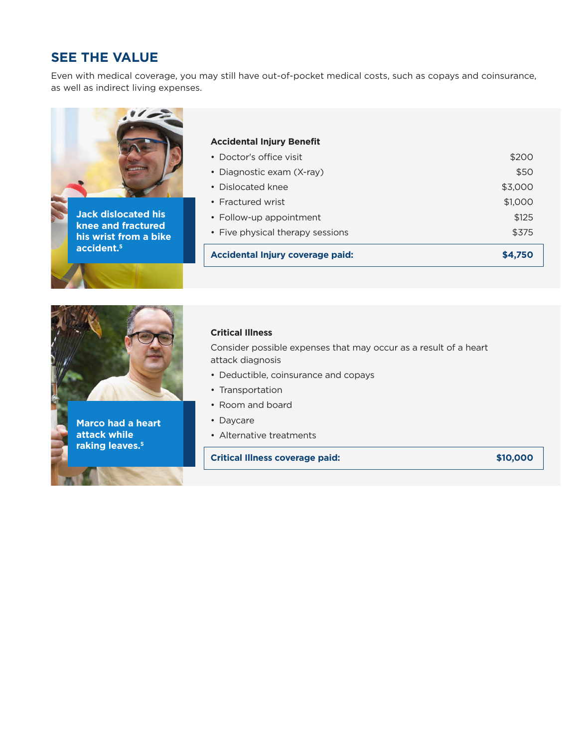# **SEE THE VALUE**

Even with medical coverage, you may still have out-of-pocket medical costs, such as copays and coinsurance, as well as indirect living expenses.





**Marco had a heart attack while raking leaves.5**

#### **Critical Illness**

Consider possible expenses that may occur as a result of a heart attack diagnosis

- Deductible, coinsurance and copays
- Transportation
- Room and board
- Daycare
- Alternative treatments

**Critical Illness coverage paid: \$10,000**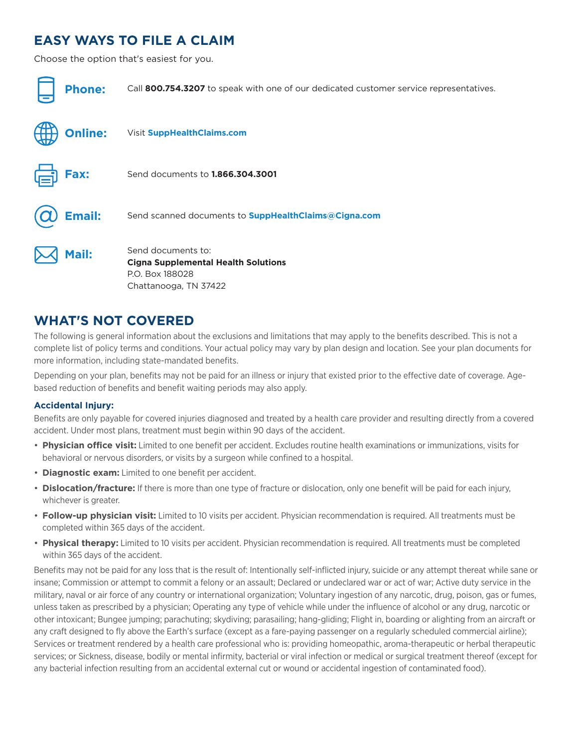# **EASY WAYS TO FILE A CLAIM**

Choose the option that's easiest for you.

| <b>Phone:</b>  | Call 800.754.3207 to speak with one of our dedicated customer service representatives.                       |
|----------------|--------------------------------------------------------------------------------------------------------------|
| <b>Online:</b> | Visit SuppHealthClaims.com                                                                                   |
| Fax:           | Send documents to <b>1.866.304.3001</b>                                                                      |
| <b>Email:</b>  | Send scanned documents to <b>SuppHealthClaims@Cigna.com</b>                                                  |
| Mail:          | Send documents to:<br><b>Cigna Supplemental Health Solutions</b><br>P.O. Box 188028<br>Chattanooga, TN 37422 |

# **WHAT'S NOT COVERED**

The following is general information about the exclusions and limitations that may apply to the benefits described. This is not a complete list of policy terms and conditions. Your actual policy may vary by plan design and location. See your plan documents for more information, including state-mandated benefits.

Depending on your plan, benefits may not be paid for an illness or injury that existed prior to the effective date of coverage. Agebased reduction of benefits and benefit waiting periods may also apply.

#### **Accidental Injury:**

Benefits are only payable for covered injuries diagnosed and treated by a health care provider and resulting directly from a covered accident. Under most plans, treatment must begin within 90 days of the accident.

- Physician office visit: Limited to one benefit per accident. Excludes routine health examinations or immunizations, visits for behavioral or nervous disorders, or visits by a surgeon while confined to a hospital.
- **Diagnostic exam:** Limited to one benefit per accident.
- **Dislocation/fracture:** If there is more than one type of fracture or dislocation, only one benefit will be paid for each injury, whichever is greater.
- **Follow-up physician visit:** Limited to 10 visits per accident. Physician recommendation is required. All treatments must be completed within 365 days of the accident.
- Physical therapy: Limited to 10 visits per accident. Physician recommendation is required. All treatments must be completed within 365 days of the accident.

Benefits may not be paid for any loss that is the result of: Intentionally self-inflicted injury, suicide or any attempt thereat while sane or insane; Commission or attempt to commit a felony or an assault; Declared or undeclared war or act of war; Active duty service in the military, naval or air force of any country or international organization; Voluntary ingestion of any narcotic, drug, poison, gas or fumes, unless taken as prescribed by a physician; Operating any type of vehicle while under the influence of alcohol or any drug, narcotic or other intoxicant; Bungee jumping; parachuting; skydiving; parasailing; hang-gliding; Flight in, boarding or alighting from an aircraft or any craft designed to fly above the Earth's surface (except as a fare-paying passenger on a regularly scheduled commercial airline); Services or treatment rendered by a health care professional who is: providing homeopathic, aroma-therapeutic or herbal therapeutic services; or Sickness, disease, bodily or mental infirmity, bacterial or viral infection or medical or surgical treatment thereof (except for any bacterial infection resulting from an accidental external cut or wound or accidental ingestion of contaminated food).